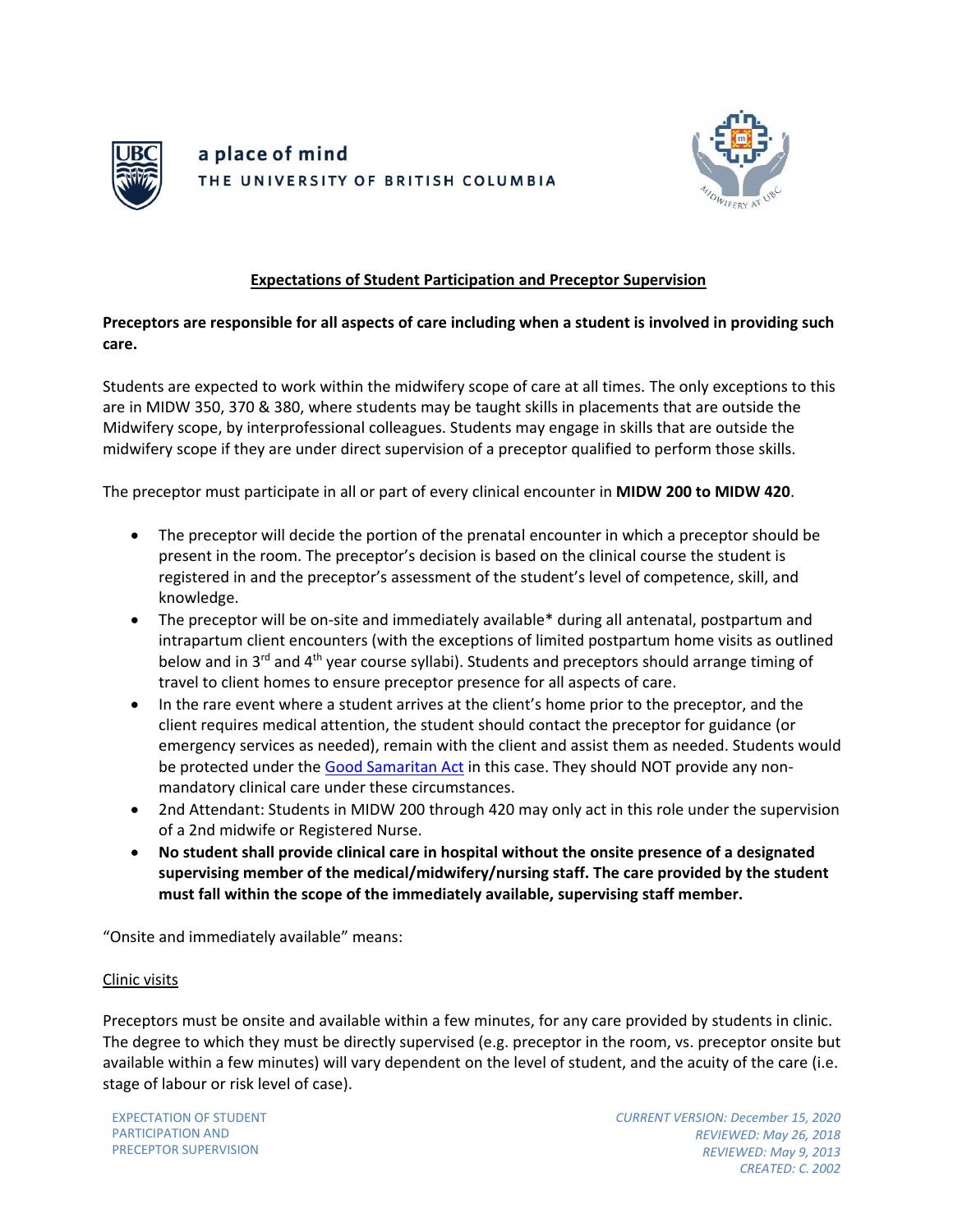



### **Expectations of Student Participation and Preceptor Supervision**

### **Preceptors are responsible for all aspects of care including when a student is involved in providing such care.**

Students are expected to work within the midwifery scope of care at all times. The only exceptions to this are in MIDW 350, 370 & 380, where students may be taught skills in placements that are outside the Midwifery scope, by interprofessional colleagues. Students may engage in skills that are outside the midwifery scope if they are under direct supervision of a preceptor qualified to perform those skills.

The preceptor must participate in all or part of every clinical encounter in **MIDW 200 to MIDW 420**.

- The preceptor will decide the portion of the prenatal encounter in which a preceptor should be present in the room. The preceptor's decision is based on the clinical course the student is registered in and the preceptor's assessment of the student's level of competence, skill, and knowledge.
- The preceptor will be on-site and immediately available\* during all antenatal, postpartum and intrapartum client encounters (with the exceptions of limited postpartum home visits as outlined below and in 3<sup>rd</sup> and 4<sup>th</sup> year course syllabi). Students and preceptors should arrange timing of travel to client homes to ensure preceptor presence for all aspects of care.
- In the rare event where a student arrives at the client's home prior to the preceptor, and the client requires medical attention, the student should contact the preceptor for guidance (or emergency services as needed), remain with the client and assist them as needed. Students would be protected under the [Good Samaritan Act](https://www.bclaws.ca/civix/document/id/complete/statreg/96172_01) in this case. They should NOT provide any nonmandatory clinical care under these circumstances.
- 2nd Attendant: Students in MIDW 200 through 420 may only act in this role under the supervision of a 2nd midwife or Registered Nurse.
- **No student shall provide clinical care in hospital without the onsite presence of a designated supervising member of the medical/midwifery/nursing staff. The care provided by the student must fall within the scope of the immediately available, supervising staff member.**

"Onsite and immediately available" means:

#### Clinic visits

Preceptors must be onsite and available within a few minutes, for any care provided by students in clinic. The degree to which they must be directly supervised (e.g. preceptor in the room, vs. preceptor onsite but available within a few minutes) will vary dependent on the level of student, and the acuity of the care (i.e. stage of labour or risk level of case).

EXPECTATION OF STUDENT PARTICIPATION AND PRECEPTOR SUPERVISION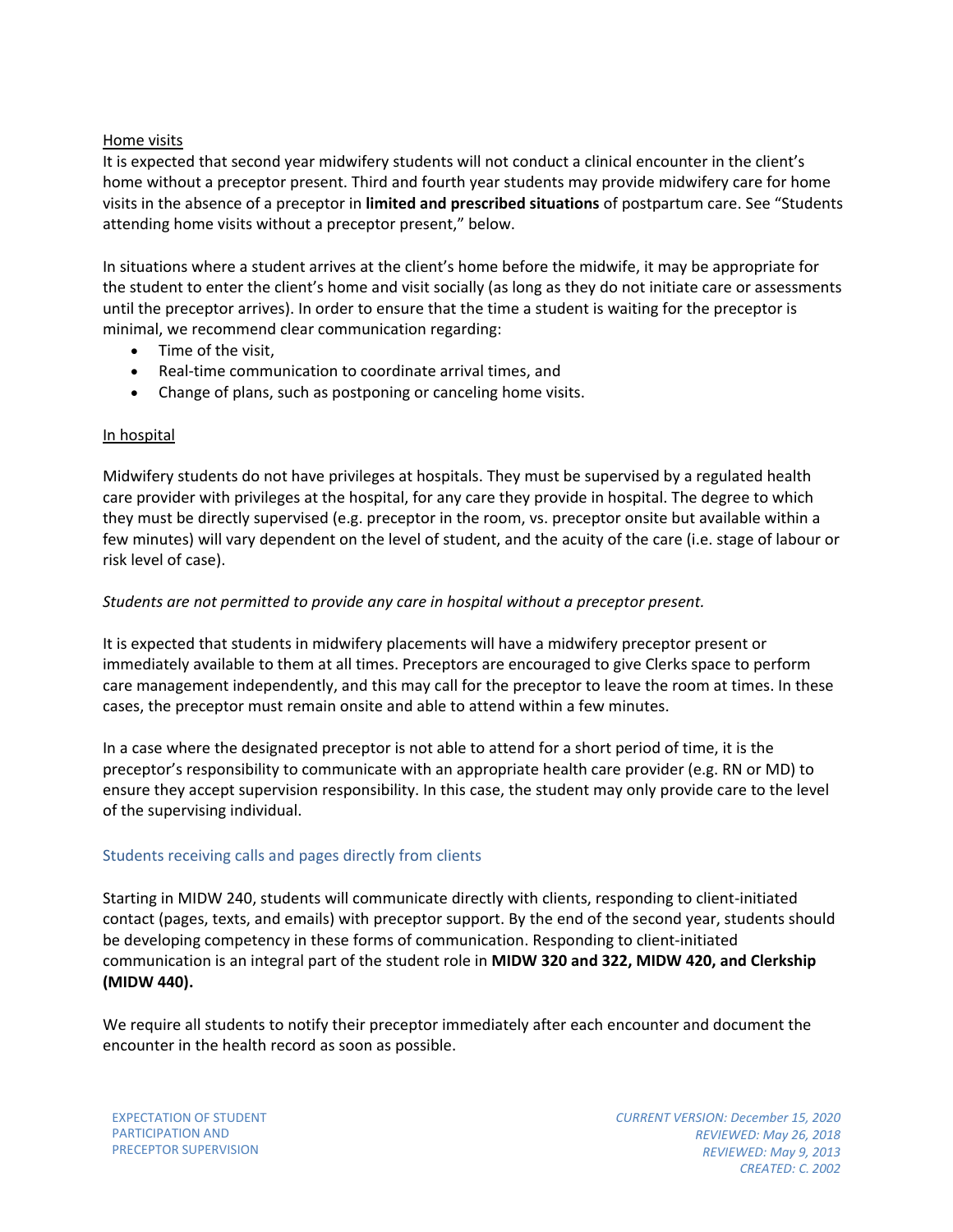#### Home visits

It is expected that second year midwifery students will not conduct a clinical encounter in the client's home without a preceptor present. Third and fourth year students may provide midwifery care for home visits in the absence of a preceptor in **limited and prescribed situations** of postpartum care. See "Students attending home visits without a preceptor present," below.

In situations where a student arrives at the client's home before the midwife, it may be appropriate for the student to enter the client's home and visit socially (as long as they do not initiate care or assessments until the preceptor arrives). In order to ensure that the time a student is waiting for the preceptor is minimal, we recommend clear communication regarding:

- Time of the visit,
- Real-time communication to coordinate arrival times, and
- Change of plans, such as postponing or canceling home visits.

#### In hospital

Midwifery students do not have privileges at hospitals. They must be supervised by a regulated health care provider with privileges at the hospital, for any care they provide in hospital. The degree to which they must be directly supervised (e.g. preceptor in the room, vs. preceptor onsite but available within a few minutes) will vary dependent on the level of student, and the acuity of the care (i.e. stage of labour or risk level of case).

#### *Students are not permitted to provide any care in hospital without a preceptor present.*

It is expected that students in midwifery placements will have a midwifery preceptor present or immediately available to them at all times. Preceptors are encouraged to give Clerks space to perform care management independently, and this may call for the preceptor to leave the room at times. In these cases, the preceptor must remain onsite and able to attend within a few minutes.

In a case where the designated preceptor is not able to attend for a short period of time, it is the preceptor's responsibility to communicate with an appropriate health care provider (e.g. RN or MD) to ensure they accept supervision responsibility. In this case, the student may only provide care to the level of the supervising individual.

#### Students receiving calls and pages directly from clients

Starting in MIDW 240, students will communicate directly with clients, responding to client-initiated contact (pages, texts, and emails) with preceptor support. By the end of the second year, students should be developing competency in these forms of communication. Responding to client-initiated communication is an integral part of the student role in **MIDW 320 and 322, MIDW 420, and Clerkship (MIDW 440).** 

We require all students to notify their preceptor immediately after each encounter and document the encounter in the health record as soon as possible.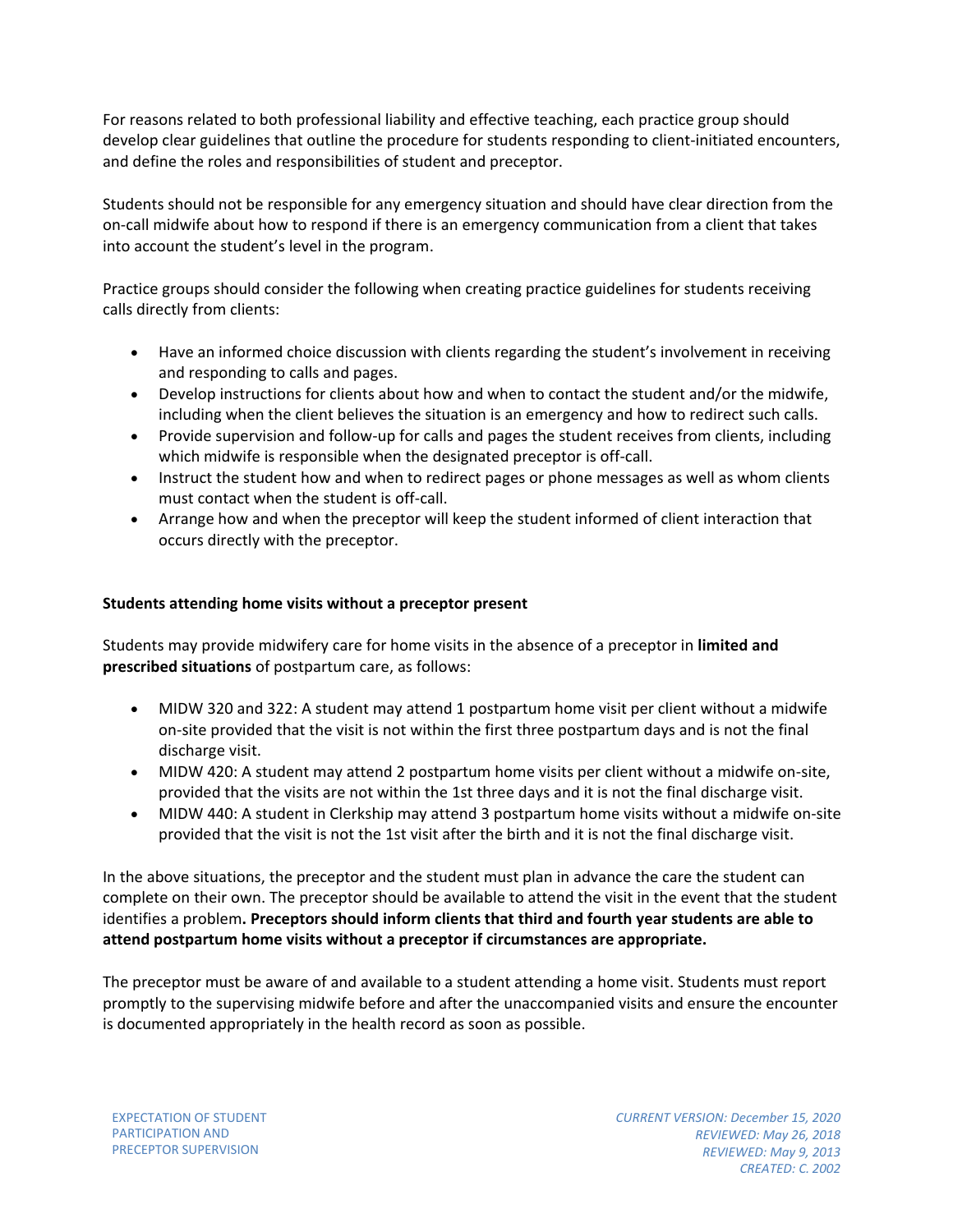For reasons related to both professional liability and effective teaching, each practice group should develop clear guidelines that outline the procedure for students responding to client-initiated encounters, and define the roles and responsibilities of student and preceptor.

Students should not be responsible for any emergency situation and should have clear direction from the on-call midwife about how to respond if there is an emergency communication from a client that takes into account the student's level in the program.

Practice groups should consider the following when creating practice guidelines for students receiving calls directly from clients:

- Have an informed choice discussion with clients regarding the student's involvement in receiving and responding to calls and pages.
- Develop instructions for clients about how and when to contact the student and/or the midwife, including when the client believes the situation is an emergency and how to redirect such calls.
- Provide supervision and follow-up for calls and pages the student receives from clients, including which midwife is responsible when the designated preceptor is off-call.
- Instruct the student how and when to redirect pages or phone messages as well as whom clients must contact when the student is off-call.
- Arrange how and when the preceptor will keep the student informed of client interaction that occurs directly with the preceptor.

# **Students attending home visits without a preceptor present**

Students may provide midwifery care for home visits in the absence of a preceptor in **limited and prescribed situations** of postpartum care, as follows:

- MIDW 320 and 322: A student may attend 1 postpartum home visit per client without a midwife on-site provided that the visit is not within the first three postpartum days and is not the final discharge visit.
- MIDW 420: A student may attend 2 postpartum home visits per client without a midwife on-site, provided that the visits are not within the 1st three days and it is not the final discharge visit.
- MIDW 440: A student in Clerkship may attend 3 postpartum home visits without a midwife on-site provided that the visit is not the 1st visit after the birth and it is not the final discharge visit.

In the above situations, the preceptor and the student must plan in advance the care the student can complete on their own. The preceptor should be available to attend the visit in the event that the student identifies a problem**. Preceptors should inform clients that third and fourth year students are able to attend postpartum home visits without a preceptor if circumstances are appropriate.**

The preceptor must be aware of and available to a student attending a home visit. Students must report promptly to the supervising midwife before and after the unaccompanied visits and ensure the encounter is documented appropriately in the health record as soon as possible.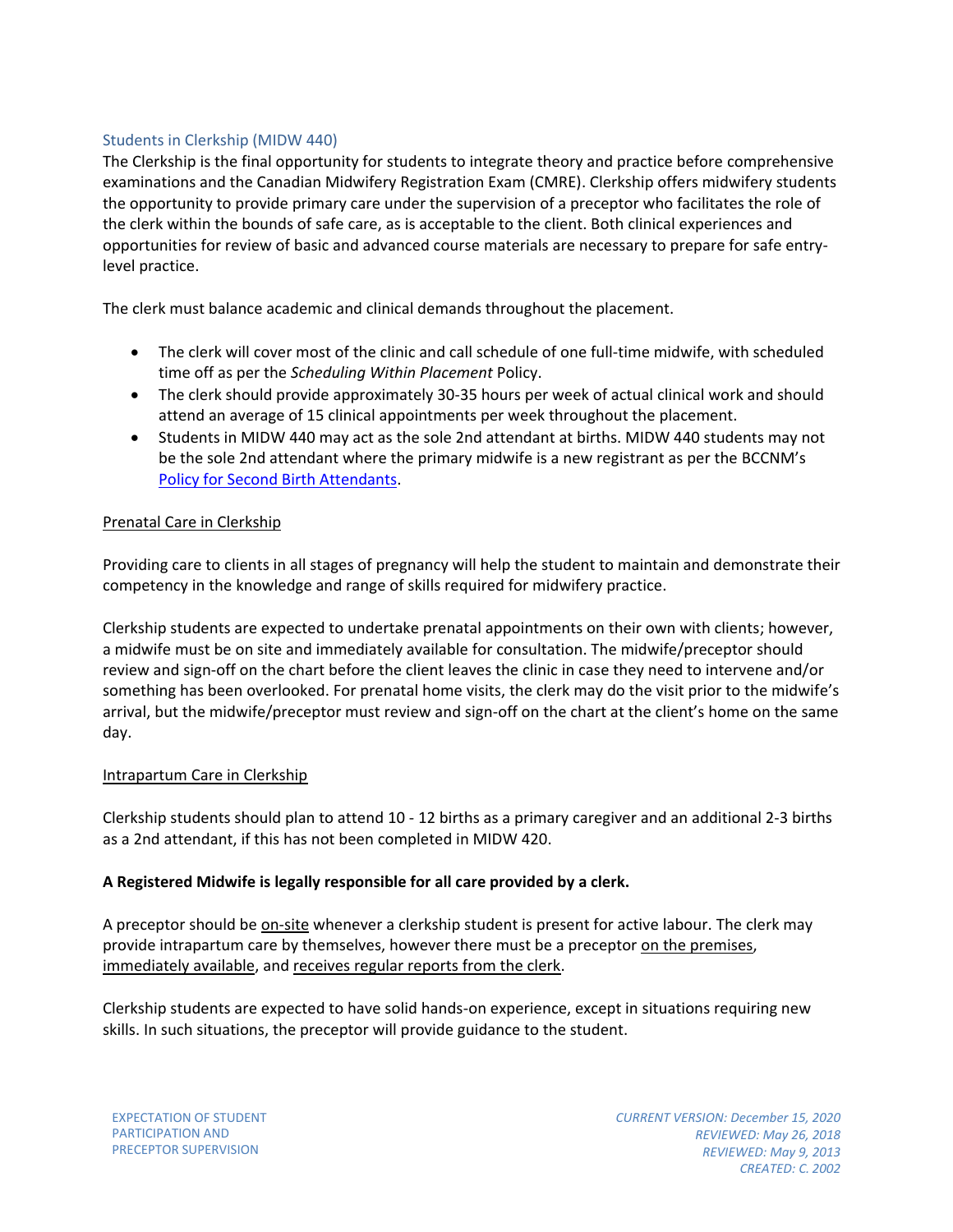### Students in Clerkship (MIDW 440)

The Clerkship is the final opportunity for students to integrate theory and practice before comprehensive examinations and the Canadian Midwifery Registration Exam (CMRE). Clerkship offers midwifery students the opportunity to provide primary care under the supervision of a preceptor who facilitates the role of the clerk within the bounds of safe care, as is acceptable to the client. Both clinical experiences and opportunities for review of basic and advanced course materials are necessary to prepare for safe entrylevel practice.

The clerk must balance academic and clinical demands throughout the placement.

- The clerk will cover most of the clinic and call schedule of one full-time midwife, with scheduled time off as per the *Scheduling Within Placement* Policy.
- The clerk should provide approximately 30-35 hours per week of actual clinical work and should attend an average of 15 clinical appointments per week throughout the placement.
- Students in MIDW 440 may act as the sole 2nd attendant at births. MIDW 440 students may not be the sole 2nd attendant where the primary midwife is a new registrant as per the BCCNM's [Policy for Second Birth Attendants.](https://www.bccnm.ca/Documents/standards_practice/rm/RM_Policy_for_Second_Birth_Attendants.pdf#search=second%20birth%20attendants)

# Prenatal Care in Clerkship

Providing care to clients in all stages of pregnancy will help the student to maintain and demonstrate their competency in the knowledge and range of skills required for midwifery practice.

Clerkship students are expected to undertake prenatal appointments on their own with clients; however, a midwife must be on site and immediately available for consultation. The midwife/preceptor should review and sign-off on the chart before the client leaves the clinic in case they need to intervene and/or something has been overlooked. For prenatal home visits, the clerk may do the visit prior to the midwife's arrival, but the midwife/preceptor must review and sign-off on the chart at the client's home on the same day.

#### Intrapartum Care in Clerkship

Clerkship students should plan to attend 10 - 12 births as a primary caregiver and an additional 2-3 births as a 2nd attendant, if this has not been completed in MIDW 420.

# **A Registered Midwife is legally responsible for all care provided by a clerk.**

A preceptor should be on-site whenever a clerkship student is present for active labour. The clerk may provide intrapartum care by themselves, however there must be a preceptor on the premises, immediately available, and receives regular reports from the clerk.

Clerkship students are expected to have solid hands-on experience, except in situations requiring new skills. In such situations, the preceptor will provide guidance to the student.